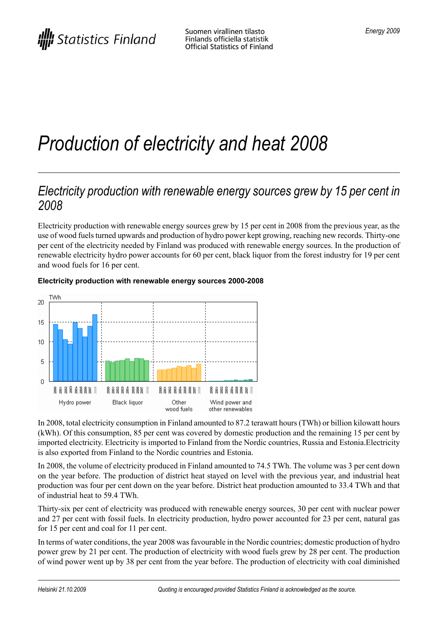# *Production of electricity and heat 2008*

### *Electricity production with renewable energy sources grew by 15 per cent in 2008*

Electricity production with renewable energy sources grew by 15 per cent in 2008 from the previous year, as the use of wood fuelsturned upwards and production of hydro power kept growing, reaching new records. Thirty-one per cent of the electricity needed by Finland was produced with renewable energy sources. In the production of renewable electricity hydro power accounts for 60 per cent, black liquor from the forest industry for 19 per cent and wood fuels for 16 per cent.



#### **Electricity production with renewable energy sources 2000-2008**

In 2008, total electricity consumption in Finland amounted to 87.2 terawatt hours (TWh) or billion kilowatt hours (kWh). Of this consumption, 85 per cent was covered by domestic production and the remaining 15 per cent by imported electricity. Electricity is imported to Finland from the Nordic countries, Russia and Estonia.Electricity is also exported from Finland to the Nordic countries and Estonia.

In 2008, the volume of electricity produced in Finland amounted to 74.5 TWh. The volume was 3 per cent down on the year before. The production of district heat stayed on level with the previous year, and industrial heat production was four per cent down on the year before. District heat production amounted to 33.4 TWh and that of industrial heat to 59.4 TWh.

Thirty-six per cent of electricity was produced with renewable energy sources, 30 per cent with nuclear power and 27 per cent with fossil fuels. In electricity production, hydro power accounted for 23 per cent, natural gas for 15 per cent and coal for 11 per cent.

In terms of water conditions, the year 2008 wasfavourable in the Nordic countries; domestic production of hydro power grew by 21 per cent. The production of electricity with wood fuels grew by 28 per cent. The production of wind power went up by 38 per cent from the year before. The production of electricity with coal diminished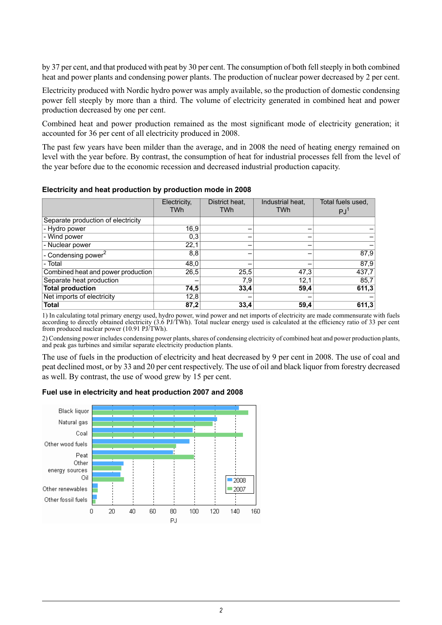by 37 per cent, and that produced with peat by 30 per cent. The consumption of both fell steeply in both combined heat and power plants and condensing power plants. The production of nuclear power decreased by 2 per cent.

Electricity produced with Nordic hydro power was amply available, so the production of domestic condensing power fell steeply by more than a third. The volume of electricity generated in combined heat and power production decreased by one per cent.

Combined heat and power production remained as the most significant mode of electricity generation; it accounted for 36 per cent of all electricity produced in 2008.

The past few years have been milder than the average, and in 2008 the need of heating energy remained on level with the year before. By contrast, the consumption of heat for industrial processes fell from the level of the year before due to the economic recession and decreased industrial production capacity.

|                                    | Electricity,<br><b>TWh</b> | District heat.<br><b>TWh</b> | Industrial heat,<br><b>TWh</b> | Total fuels used.<br><b>PJ</b> |
|------------------------------------|----------------------------|------------------------------|--------------------------------|--------------------------------|
| Separate production of electricity |                            |                              |                                |                                |
| - Hydro power                      | 16,9                       |                              |                                |                                |
| - Wind power                       | 0,3                        |                              |                                |                                |
| - Nuclear power                    | 22,1                       |                              |                                |                                |
| - Condensing power <sup>2</sup>    | 8,8                        |                              |                                | 87,9                           |
| - Total                            | 48,0                       |                              |                                | 87,9                           |
| Combined heat and power production | 26,5                       | 25,5                         | 47.3                           | 437,7                          |
| Separate heat production           |                            | 7,9'                         | 12,1                           | 85,7                           |
| <b>Total production</b>            | 74,5                       | 33,4                         | 59,4                           | 611,3                          |
| Net imports of electricity         | 12,8                       |                              |                                |                                |
| <b>Total</b>                       | 87,2                       | 33,4                         | 59,4                           | 611,3                          |

**Electricity and heat production by production mode in 2008**

1) In calculating total primary energy used, hydro power, wind power and net imports of electricity are made commensurate with fuels according to directly obtained electricity (3.6 PJ/TWh). Total nuclear energy used is calculated at the efficiency ratio of 33 per cent from produced nuclear power (10.91 PJ/TWh).

2) Condensing power includes condensing power plants, shares of condensing electricity of combined heat and power production plants, and peak gas turbines and similar separate electricity production plants.

The use of fuels in the production of electricity and heat decreased by 9 per cent in 2008. The use of coal and peat declined most, or by 33 and 20 per cent respectively. The use of oil and black liquor from forestry decreased as well. By contrast, the use of wood grew by 15 per cent.

#### **Fuel use in electricity and heat production 2007 and 2008**

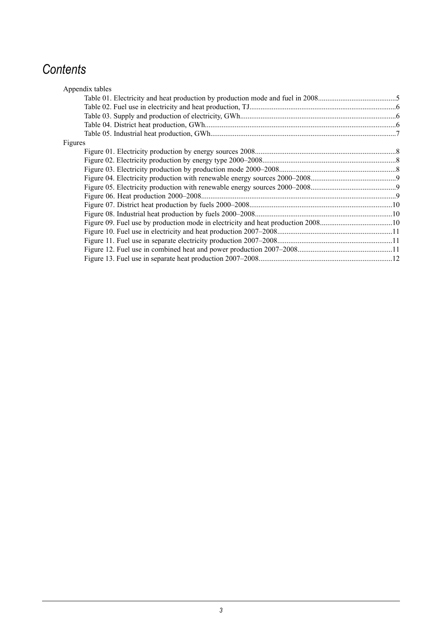## *Contents*

| Appendix tables |  |
|-----------------|--|
|                 |  |
|                 |  |
|                 |  |
|                 |  |
|                 |  |
| Figures         |  |
|                 |  |
|                 |  |
|                 |  |
|                 |  |
|                 |  |
|                 |  |
|                 |  |
|                 |  |
|                 |  |
|                 |  |
|                 |  |
|                 |  |
|                 |  |
|                 |  |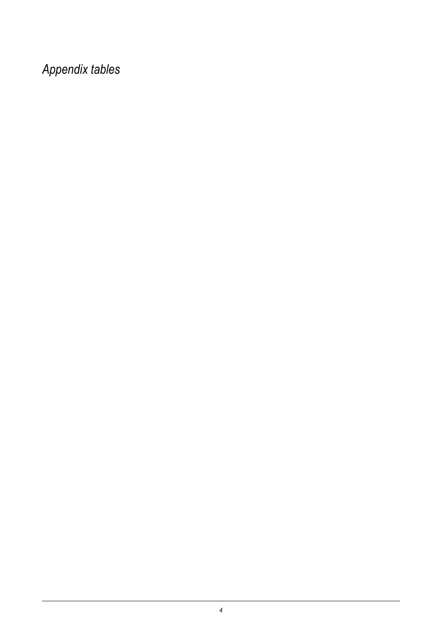*Appendix tables*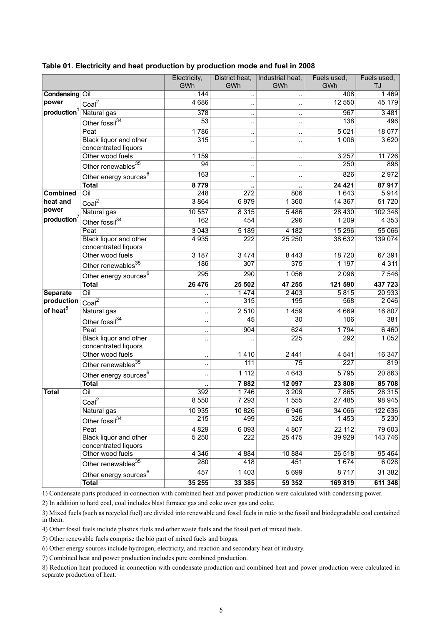|                         |                                                       | Electricity,<br>GWh  | District heat,<br>GWh | Industrial heat,<br>GWh | Fuels used,<br>GWh | Fuels used,<br>TJ |
|-------------------------|-------------------------------------------------------|----------------------|-----------------------|-------------------------|--------------------|-------------------|
| <b>Condensing Oil</b>   |                                                       | 144                  |                       |                         | 408                | 1469              |
| power                   | Coal <sup>2</sup>                                     | 4686                 |                       |                         | 12 550             | 45 179            |
| production <sup>1</sup> | Natural gas                                           | 378                  | $\ddot{\phantom{a}}$  |                         | 967                | 3 4 8 1           |
|                         | Other fossil <sup>34</sup>                            | $\overline{53}$      |                       | $\ddot{\phantom{0}}$    | 138                | 496               |
|                         | Peat                                                  | 1786                 | $\ddot{\phantom{a}}$  |                         | 5021               | 18 077            |
|                         | Black liquor and other<br>concentrated liquors        | 315                  | $\ddot{\phantom{a}}$  | $\ddot{\phantom{0}}$    | 1 0 0 6            | 3 6 20            |
|                         | Other wood fuels                                      | 1 1 5 9              | $\ddot{\phantom{a}}$  | $\ddot{\phantom{a}}$    | 3257               | 11 7 26           |
|                         | Other renewables <sup>35</sup>                        | 94                   |                       |                         | 250                | 898               |
|                         | Other energy sources <sup>6</sup>                     | 163                  | $\ddot{\phantom{a}}$  |                         | 826                | 2972              |
|                         | <b>Total</b>                                          | 8779                 |                       |                         | 24 4 21            | 87917             |
| <b>Combined</b>         | Oil                                                   | 248                  | 272                   | 806                     | 1643               | 5914              |
| heat and                | Coal <sup>2</sup>                                     | 3864                 | 6979                  | 1 3 6 0                 | 14 3 67            | 51720             |
| power                   | Natural gas                                           | 10 557               | 8 3 1 5               | 5 4 8 6                 | 28 4 30            | 102 348           |
| production <sup>7</sup> | Other fossil $34$                                     | 162                  | 454                   | 296                     | 1 2 0 9            | 4 3 5 3           |
|                         | Peat                                                  | 3043                 | 5189                  | 4 1 8 2                 | 15 29 6            | 55 066            |
|                         | <b>Black liquor and other</b><br>concentrated liquors | 4 9 3 5              | 222                   | 25 250                  | 38 632             | 139 074           |
|                         | Other wood fuels                                      | 3 187                | 3474                  | 8 4 4 3                 | 18720              | 67 391            |
|                         | Other renewables <sup>35</sup>                        | 186                  | 307                   | 375                     | 1 1 9 7            | 4 3 1 1           |
|                         | Other energy sources <sup>6</sup>                     | 295                  | 290                   | 1 0 5 6                 | 2096               | 7 5 4 6           |
|                         | <b>Total</b>                                          | 26 476               | 25 502                | 47 255                  | 121 590            | 437 723           |
| <b>Separate</b>         | $\overline{O}$ il                                     | $\ddot{\phantom{0}}$ | 1474                  | 2 4 0 3                 | 5815               | 20 933            |
| production              | Coal <sup>2</sup>                                     |                      | 315                   | 195                     | 568                | 2046              |
| of heat <sup>8</sup>    | Natural gas                                           | $\ddotsc$            | 2510                  | 1459                    | 4 6 6 9            | 16 807            |
|                         | Other fossil $34$                                     | ٠,                   | 45                    | $\overline{30}$         | 106                | 381               |
|                         | Peat                                                  | $\ddot{\phantom{0}}$ | 904                   | 624                     | 1794               | 6460              |
|                         | Black liquor and other<br>concentrated liquors        | $\ddotsc$            |                       | 225                     | 292                | 1052              |
|                         | Other wood fuels                                      | $\ddot{\phantom{a}}$ | 1410                  | 2441                    | 4 5 4 1            | 16 347            |
|                         | Other renewables $^{35}$                              | $\ddotsc$            | 111                   | $\overline{75}$         | 227                | 819               |
|                         | Other energy sources <sup>6</sup>                     |                      | 1112                  | 4 6 4 3                 | 5795               | 20 863            |
|                         | <b>Total</b>                                          | ٠.                   | 7882                  | 12 097                  | 23 808             | 85 708            |
| <b>Total</b>            | Oil                                                   | 392                  | 1746                  | 3 2 0 9                 | 7865               | 28 315            |
|                         | Coal <sup>2</sup>                                     | 8 5 5 0              | 7 2 9 3               | 1 5 5 5                 | 27 485             | 98 945            |
|                         | Natural gas                                           | 10 935               | 10 8 26               | 6946                    | 34 066             | 122 636           |
|                         | Other fossil <sup>34</sup>                            | 215                  | 499                   | 326                     | 1453               | 5 2 3 0           |
|                         | Peat                                                  | 4 8 29               | 6 0 9 3               | 4 807                   | 22 112             | 79 603            |
|                         | <b>Black liquor and other</b><br>concentrated liquors | 5 2 5 0              | 222                   | 25 4 75                 | 39 9 29            | 143 746           |
|                         | Other wood fuels                                      | 4 3 4 6              | 4 8 8 4               | 10 884                  | 26 518             | 95 4 64           |
|                         | Other renewables <sup>35</sup>                        | 280                  | 418                   | 451                     | 1 674              | 6 0 28            |
|                         | Other energy sources <sup>6</sup>                     | 457                  | 1 4 0 3               | 5 6 9 9                 | 8717               | 31 382            |
|                         | <b>Total</b>                                          | 35 255               | 33 385                | 59 352                  | 169 819            | 611 348           |

#### <span id="page-4-0"></span>**Table 01. Electricity and heat production by production mode and fuel in 2008**

1) Condensate parts produced in connection with combined heat and power production were calculated with condensing power.

2) In addition to hard coal, coal includes blast furnace gas and coke oven gas and coke.

3) Mixed fuels (such as recycled fuel) are divided into renewable and fossil fuels in ratio to the fossil and biodegradable coal contained in them.

4) Other fossil fuels include plastics fuels and other waste fuels and the fossil part of mixed fuels.

5) Other renewable fuels comprise the bio part of mixed fuels and biogas.

6) Other energy sources include hydrogen, electricity, and reaction and secondary heat of industry.

7) Combined heat and power production includes pure combined production.

8) Reduction heat produced in connection with condensate production and combined heat and power production were calculated in separate production of heat.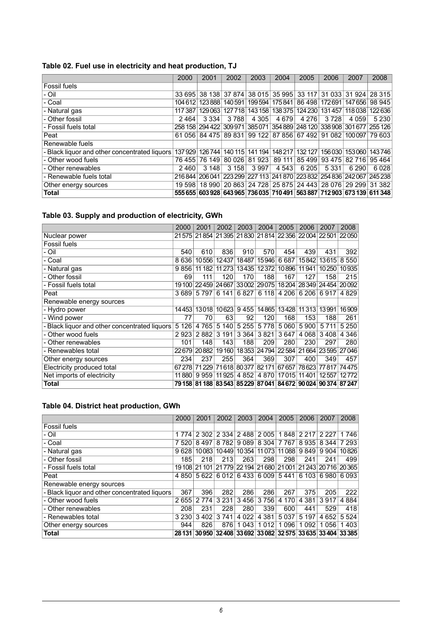<span id="page-5-0"></span>

|                                               | 2000 | 2001                                                                                    | 2002    | 2003    | 2004    | 2005    | 2006                        | 2007    | 2008    |
|-----------------------------------------------|------|-----------------------------------------------------------------------------------------|---------|---------|---------|---------|-----------------------------|---------|---------|
| Fossil fuels                                  |      |                                                                                         |         |         |         |         |                             |         |         |
| - Oil                                         |      | 33 695 38 138 37 874 38 015 35 995 33 117 31 033 31 924 28 315                          |         |         |         |         |                             |         |         |
| - Coal                                        |      | 104 612 123 888 140 591 199 594 175 841 86 498 172 691 147 656 98 945                   |         |         |         |         |                             |         |         |
| - Natural gas                                 |      | 117 387   129 063   127 718   143 158   138 375   124 230   131 457   118 038   122 636 |         |         |         |         |                             |         |         |
| - Other fossil                                | 2464 | 3334                                                                                    | 3 7 8 8 | 4 3 0 5 | 4 6 7 9 | 4 2 7 6 | 3 7 2 8                     | 4 0 5 9 | 5 2 3 0 |
| - Fossil fuels total                          |      | 258 158 294 422 309 971 385 071 354 889 248 120 338 908 301 677 255 126                 |         |         |         |         |                             |         |         |
| Peat                                          |      | 61 056 84 475 89 831 99 122 87 856 67 492 91 082 100 097 79 603                         |         |         |         |         |                             |         |         |
| Renewable fuels                               |      |                                                                                         |         |         |         |         |                             |         |         |
| - Black liguor and other concentrated liguors |      | 137 929 126 744 140 115 141 194 148 217 132 127 156 030 153 060 143 746                 |         |         |         |         |                             |         |         |
| - Other wood fuels                            |      | 76 455 76 149 80 026 81 923                                                             |         |         | 89 111  |         | 85 499 93 475 82 716 95 464 |         |         |
| - Other renewables                            | 2460 | 3148                                                                                    | 3 1 5 8 | 3997    | 4 5 4 3 | 6 205   | 5 3 3 1                     | 6 2 9 0 | 6028    |
| - Renewable fuels total                       |      | 216 844   206 041   223 299   227 113   241 870   223 832   254 836   242 067   245 238 |         |         |         |         |                             |         |         |
| Other energy sources                          |      | 19 598   18 990   20 863   24 728   25 875   24 443   28 076   29 299   31 382          |         |         |         |         |                             |         |         |
| <b>Total</b>                                  |      | 555 655 603 928 643 965 736 035 710 491 563 887 712 903 673 139 611 348                 |         |         |         |         |                             |         |         |

#### <span id="page-5-1"></span>**Table 03. Supply and production of electricity, GWh**

|                                               | 2000    | 2001        | 2002                                             | 2003    | 2004        | 2005    | 2006    | 2007                                                                           | 2008    |
|-----------------------------------------------|---------|-------------|--------------------------------------------------|---------|-------------|---------|---------|--------------------------------------------------------------------------------|---------|
| Nuclear power                                 | 21575   |             | 21 854 21 395 21 830 21 814 22 356 22 004 22 501 |         |             |         |         |                                                                                | 22050   |
| Fossil fuels                                  |         |             |                                                  |         |             |         |         |                                                                                |         |
| - Oil                                         | 540     | 610         | 836                                              | 910     | 570         | 454     | 439     | 431                                                                            | 392     |
| - Coal                                        | 8636    | 10556       | 12437                                            | 18487   | 15946       | 6687    | 15842   | 13615                                                                          | 8 5 5 0 |
| - Natural gas                                 | 9856    | 11 182      | 11 273                                           |         | 13435 12372 | 10896   | 11941   | 10250                                                                          | 10935   |
| - Other fossil                                | 69      | 111         | 120                                              | 170     | 188         | 167     | 127     | 158                                                                            | 215     |
| - Fossil fuels total                          | 19 100  |             | 22459 24667 33002 29075                          |         |             |         |         | 18 204 28 349 24 454 20 092                                                    |         |
| Peat                                          | 3689    | 5 7 9 7     | 6 141                                            | 6827    | 6 118       | 4 206   | 6 206   | 6917                                                                           | 4 8 2 9 |
| Renewable energy sources                      |         |             |                                                  |         |             |         |         |                                                                                |         |
| - Hydro power                                 | 14453   |             | 13018 10623                                      | 9455    | 14865       | 13428   | 11 31 3 | 13991                                                                          | 16909   |
| - Wind power                                  | 77      | 70          | 63                                               | 92      | 120         | 168     | 153     | 188                                                                            | 261     |
| - Black liguor and other concentrated liguors | 5 1 2 6 | 4765        | 5140                                             | 5 2 5 5 | 5778        | 5 0 6 0 | 5 9 0 0 | 5 7 1 1                                                                        | 5 2 5 0 |
| - Other wood fuels                            | 2923    | 2882        | 3 1 9 1                                          | 3 3 6 4 | 3821        | 3647    | 4 0 68  | 3408                                                                           | 4 3 4 6 |
| Other renewables                              | 101     | 148         | 143                                              | 188     | 209         | 280     | 230     | 297                                                                            | 280     |
| - Renewables total                            |         | 22679 20882 | 19160                                            |         |             |         |         | 18353 24794 22584 21664 23595 27046                                            |         |
| Other energy sources                          | 234     | 237         | 255                                              | 364     | 369         | 307     | 400     | 349                                                                            | 457     |
| <b>Electricity produced total</b>             | 67278   | 71229       | 71618                                            | 80377   | 82171       | 67657   | 78623   | 77817                                                                          | 74475   |
| Net imports of electricity                    | 11880   | 9959        | 11925                                            | 4 8 5 2 | 4 8 7 0     | 17015   | 11401   | 12557                                                                          | 12772   |
| <b>Total</b>                                  |         |             |                                                  |         |             |         |         | 79 158   81 188   83 543   85 229   87 041   84 672   90 024   90 374   87 247 |         |

#### <span id="page-5-2"></span>**Table 04. District heat production, GWh**

|                                               | 2000      | 2001    | 2002                                                           | 2003                    | 2004                  | 2005    | 2006      | 2007    | 2008        |
|-----------------------------------------------|-----------|---------|----------------------------------------------------------------|-------------------------|-----------------------|---------|-----------|---------|-------------|
| Fossil fuels                                  |           |         |                                                                |                         |                       |         |           |         |             |
| - Oil                                         | 1 7 7 4 1 | 2 3 0 2 |                                                                | 2 334 2 488 2 005       |                       |         | 1848 2217 | 2 2 2 7 | 1746        |
| - Coal                                        | 7 5 20    | 8497    | 8 7 8 2                                                        |                         | 9 089   8 304   7 767 |         | 8935      |         | 8 344 7 293 |
| - Natural gas                                 | 9628      | 10083   |                                                                | 10449 10354 11073 11088 |                       |         | 9849      | 9904    | 10826       |
| - Other fossil                                | 185       | 218     | 213                                                            | 263                     | 298                   | 298     | 241       | 241     | 499         |
| - Fossil fuels total                          |           |         | 19 108 21 101 21 779 22 194 21 680 21 001 21 243 20 716 20 365 |                         |                       |         |           |         |             |
| Peat                                          | 4 8 5 0   | 5622    |                                                                | 6 012 6 433 6 009 5 441 |                       |         | 6 103     |         | 6980 6093   |
| Renewable energy sources                      |           |         |                                                                |                         |                       |         |           |         |             |
| - Black liquor and other concentrated liquors | 367       | 396     | 282                                                            | 286                     | 286                   | 267     | 375       | 205     | 222         |
| - Other wood fuels                            | 2 655     | 2 7 7 4 | 3 2 3 1                                                        | 3456                    | 3756                  | 4 1 7 0 | 4 3 8 1   | 3917    | 4 8 84      |
| - Other renewables                            | 208       | 231     | 228                                                            | 280                     | 339                   | 600     | 441       | 529     | 418         |
| - Renewables total                            | 3 2 3 0   | 3402    | 3 7 4 1                                                        | 4 0 2 2                 | 4 3 8 1               | 5037    | 5 1 9 7   | 4 6 5 2 | 5 5 24      |
| Other energy sources                          | 944       | 826     | 876                                                            | 1043                    | 1012                  | 1096    | 1 0 9 2   | 1 0 5 6 | 1403        |
| Total                                         |           |         | 28 131 30 950 32 408 33 692 33 082 32 575 33 635 33 404 33 385 |                         |                       |         |           |         |             |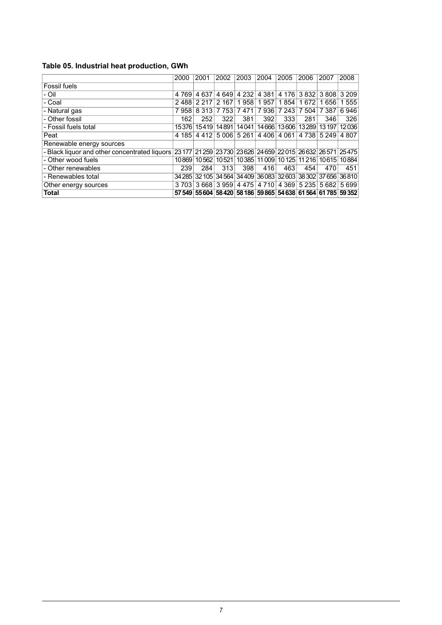#### <span id="page-6-0"></span>**Table 05. Industrial heat production, GWh**

|                                                                                                       | 2000    | 2001    | 2002        | 2003    | 2004                              | 2005    | 2006        | 2007    | 2008                                                           |
|-------------------------------------------------------------------------------------------------------|---------|---------|-------------|---------|-----------------------------------|---------|-------------|---------|----------------------------------------------------------------|
| <b>Fossil fuels</b>                                                                                   |         |         |             |         |                                   |         |             |         |                                                                |
| - Oil                                                                                                 | 4 7 6 9 | 4637    | 4 6 4 9     | 4 2 3 2 | 4 3 8 1                           | 4 1 7 6 | 3832        | 3808    | 3 2 0 9                                                        |
| - Coal                                                                                                | 2488    | 2 2 1 7 | 2 1 6 7     | 958     | 957<br>1                          | 1854    | 1 672       | 1 656   | 555                                                            |
| - Natural gas                                                                                         | 7958    |         | 8 313 7 753 | 7471    | 7<br>936                          | 7 2 4 3 | 7 504       | 7 3 8 7 | 6946                                                           |
| - Other fossil                                                                                        | 162     | 252     | 322         | 381     | 392                               | 333     | 281         | 346     | 326                                                            |
| - Fossil fuels total                                                                                  | 15376   |         | 15419 14891 |         | 14041 14666                       | 13606   | 13289       | 13197   | 12036                                                          |
| Peat                                                                                                  | 4 185   | 4412    | 5006        | 5261    | 4406                              | 4 0 6 1 | 4 7 3 8     | 5 2 4 9 | 4 807                                                          |
| Renewable energy sources                                                                              |         |         |             |         |                                   |         |             |         |                                                                |
| - Black liquor and other concentrated liquors 23 177 21 259 23 730 23 626 24 659 22 015 26 632 26 571 |         |         |             |         |                                   |         |             |         | 25475                                                          |
| - Other wood fuels                                                                                    | 10869   |         | 10562 10521 |         | 10385 11 009 10 125 11 216 10 615 |         |             |         | 10884                                                          |
| - Other renewables                                                                                    | 239     | 284     | 313         | 398     | 416                               | 463     | 454         | 470     | 451                                                            |
| - Renewables total                                                                                    | 34 285  |         |             |         |                                   |         |             |         | 32 105 34 564 34 409 36 083 32 603 38 302 37 656 36 810        |
| Other energy sources                                                                                  | 3 703   |         | 3 668 3 959 |         | 4 4 7 5   4 7 1 0                 |         | 4 369 5 235 | 5 6 8 2 | 5699                                                           |
| <b>Total</b>                                                                                          |         |         |             |         |                                   |         |             |         | 57 549 55 604 58 420 58 186 59 865 54 638 61 564 61 785 59 352 |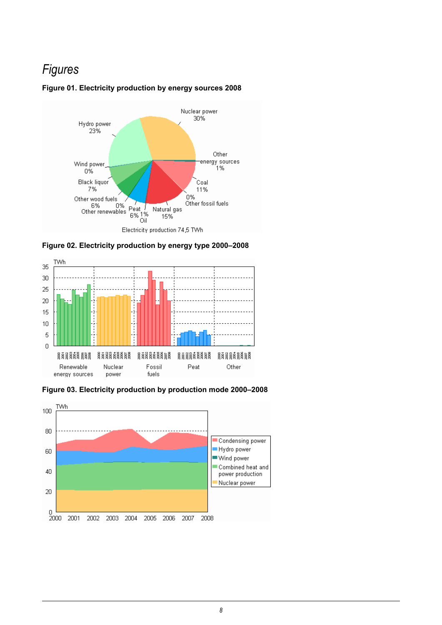### *Figures*



#### <span id="page-7-0"></span>**Figure 01. Electricity production by energy sources 2008**

<span id="page-7-1"></span>



<span id="page-7-2"></span>**Figure 03. Electricity production by production mode 2000–2008**

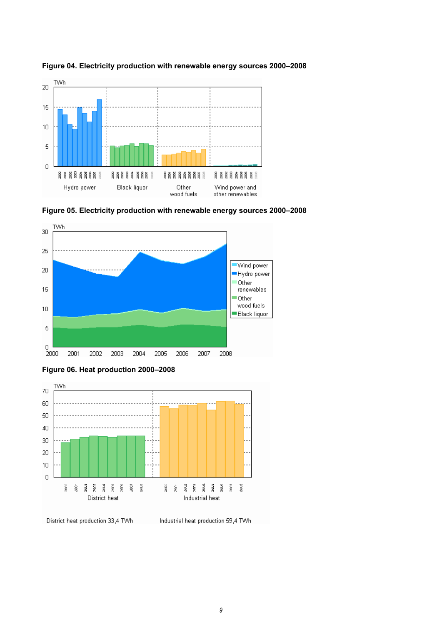

<span id="page-8-0"></span>**Figure 04. Electricity production with renewable energy sources 2000–2008**

<span id="page-8-1"></span>



<span id="page-8-2"></span>



District heat production 33,4 TWh

Industrial heat production 59,4 TWh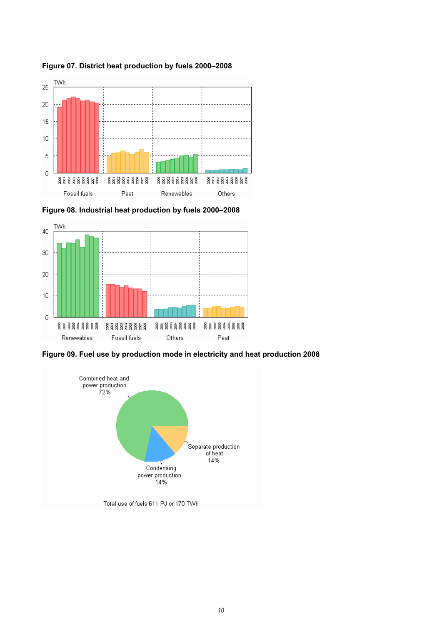

<span id="page-9-0"></span>**Figure 07. District heat production by fuels 2000–2008**

<span id="page-9-1"></span>**Figure 08. Industrial heat production by fuels 2000–2008**



<span id="page-9-2"></span>**Figure 09. Fuel use by production mode in electricity and heat production 2008**

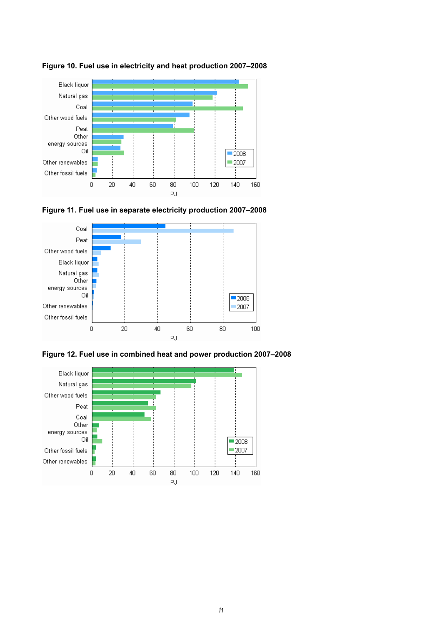

<span id="page-10-0"></span>**Figure 10. Fuel use in electricity and heat production 2007–2008**

<span id="page-10-1"></span>



<span id="page-10-2"></span>**Figure 12. Fuel use in combined heat and power production 2007–2008**

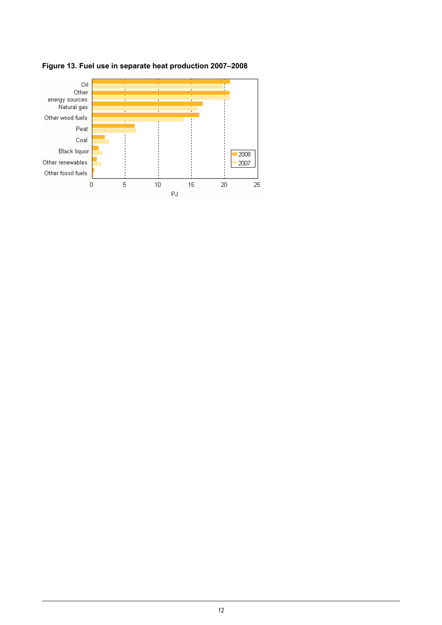

<span id="page-11-0"></span>